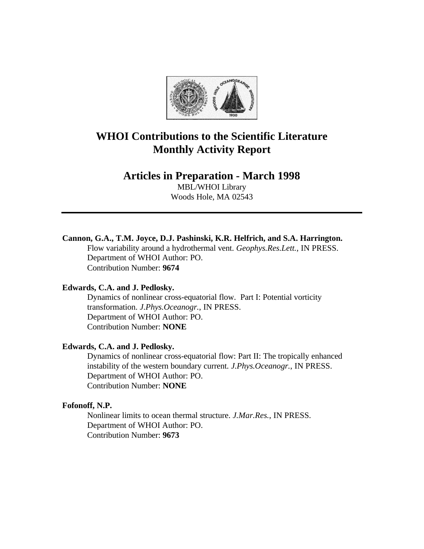

# **WHOI Contributions to the Scientific Literature Monthly Activity Report**

# **Articles in Preparation - March 1998**

MBL/WHOI Library Woods Hole, MA 02543

# **Cannon, G.A., T.M. Joyce, D.J. Pashinski, K.R. Helfrich, and S.A. Harrington.**

Flow variability around a hydrothermal vent. *Geophys.Res.Lett.*, IN PRESS. Department of WHOI Author: PO. Contribution Number: **9674**

#### **Edwards, C.A. and J. Pedlosky.**

Dynamics of nonlinear cross-equatorial flow. Part I: Potential vorticity transformation. *J.Phys.Oceanogr.*, IN PRESS. Department of WHOI Author: PO. Contribution Number: **NONE**

### **Edwards, C.A. and J. Pedlosky.**

Dynamics of nonlinear cross-equatorial flow: Part II: The tropically enhanced instability of the western boundary current. *J.Phys.Oceanogr.*, IN PRESS. Department of WHOI Author: PO. Contribution Number: **NONE**

# **Fofonoff, N.P.**

Nonlinear limits to ocean thermal structure. *J.Mar.Res.*, IN PRESS. Department of WHOI Author: PO. Contribution Number: **9673**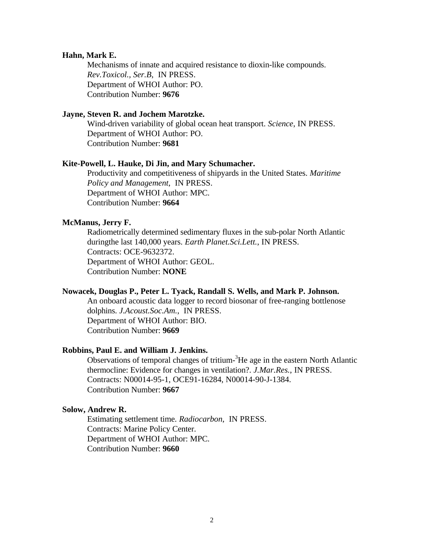#### **Hahn, Mark E.**

Mechanisms of innate and acquired resistance to dioxin-like compounds. *Rev.Toxicol., Ser.B*, IN PRESS. Department of WHOI Author: PO. Contribution Number: **9676**

#### **Jayne, Steven R. and Jochem Marotzke.**

Wind-driven variability of global ocean heat transport. *Science*, IN PRESS. Department of WHOI Author: PO. Contribution Number: **9681**

#### **Kite-Powell, L. Hauke, Di Jin, and Mary Schumacher.**

Productivity and competitiveness of shipyards in the United States. *Maritime Policy and Management*, IN PRESS. Department of WHOI Author: MPC. Contribution Number: **9664**

#### **McManus, Jerry F.**

Radiometrically determined sedimentary fluxes in the sub-polar North Atlantic duringthe last 140,000 years. *Earth Planet.Sci.Lett.*, IN PRESS. Contracts: OCE-9632372. Department of WHOI Author: GEOL. Contribution Number: **NONE**

#### **Nowacek, Douglas P., Peter L. Tyack, Randall S. Wells, and Mark P. Johnson.**

An onboard acoustic data logger to record biosonar of free-ranging bottlenose dolphins. *J.Acoust.Soc.Am.*, IN PRESS. Department of WHOI Author: BIO. Contribution Number: **9669**

#### **Robbins, Paul E. and William J. Jenkins.**

Observations of temporal changes of tritium-<sup>3</sup>He age in the eastern North Atlantic thermocline: Evidence for changes in ventilation?. *J.Mar.Res.*, IN PRESS. Contracts: N00014-95-1, OCE91-16284, N00014-90-J-1384. Contribution Number: **9667**

#### **Solow, Andrew R.**

Estimating settlement time. *Radiocarbon*, IN PRESS. Contracts: Marine Policy Center. Department of WHOI Author: MPC. Contribution Number: **9660**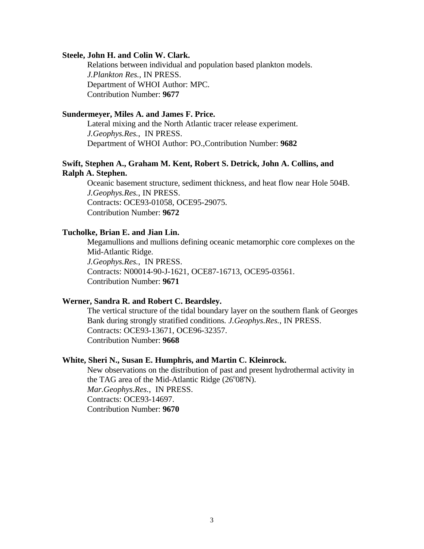#### **Steele, John H. and Colin W. Clark.**

Relations between individual and population based plankton models. *J.Plankton Res.*, IN PRESS. Department of WHOI Author: MPC. Contribution Number: **9677**

# **Sundermeyer, Miles A. and James F. Price.**

Lateral mixing and the North Atlantic tracer release experiment. *J.Geophys.Res.*, IN PRESS. Department of WHOI Author: PO.,Contribution Number: **9682**

### **Swift, Stephen A., Graham M. Kent, Robert S. Detrick, John A. Collins, and Ralph A. Stephen.**

Oceanic basement structure, sediment thickness, and heat flow near Hole 504B. *J.Geophys.Res.*, IN PRESS. Contracts: OCE93-01058, OCE95-29075. Contribution Number: **9672**

#### **Tucholke, Brian E. and Jian Lin.**

Megamullions and mullions defining oceanic metamorphic core complexes on the Mid-Atlantic Ridge. *J.Geophys.Res.*, IN PRESS. Contracts: N00014-90-J-1621, OCE87-16713, OCE95-03561. Contribution Number: **9671**

# **Werner, Sandra R. and Robert C. Beardsley.**

The vertical structure of the tidal boundary layer on the southern flank of Georges Bank during strongly stratified conditions. *J.Geophys.Res.*, IN PRESS. Contracts: OCE93-13671, OCE96-32357. Contribution Number: **9668**

#### **White, Sheri N., Susan E. Humphris, and Martin C. Kleinrock.**

New observations on the distribution of past and present hydrothermal activity in the TAG area of the Mid-Atlantic Ridge (26°08'N). *Mar.Geophys.Res.*, IN PRESS. Contracts: OCE93-14697. Contribution Number: **9670**